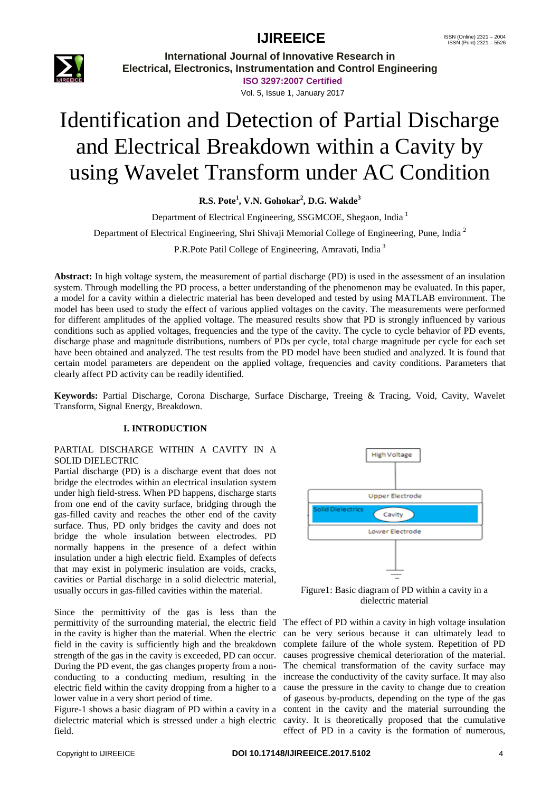

**International Journal of Innovative Research in Electrical, Electronics, Instrumentation and Control Engineering**

**ISO 3297:2007 Certified** Vol. 5, Issue 1, January 2017

# Identification and Detection of Partial Discharge and Electrical Breakdown within a Cavity by using Wavelet Transform under AC Condition

**R.S. Pote<sup>1</sup> , V.N. Gohokar<sup>2</sup> , D.G. Wakde<sup>3</sup>**

Department of Electrical Engineering, SSGMCOE, Shegaon, India <sup>1</sup>

Department of Electrical Engineering, Shri Shivaji Memorial College of Engineering, Pune, India <sup>2</sup>

P.R.Pote Patil College of Engineering, Amravati, India<sup>3</sup>

**Abstract:** In high voltage system, the measurement of partial discharge (PD) is used in the assessment of an insulation system. Through modelling the PD process, a better understanding of the phenomenon may be evaluated. In this paper, a model for a cavity within a dielectric material has been developed and tested by using MATLAB environment. The model has been used to study the effect of various applied voltages on the cavity. The measurements were performed for different amplitudes of the applied voltage. The measured results show that PD is strongly influenced by various conditions such as applied voltages, frequencies and the type of the cavity. The cycle to cycle behavior of PD events, discharge phase and magnitude distributions, numbers of PDs per cycle, total charge magnitude per cycle for each set have been obtained and analyzed. The test results from the PD model have been studied and analyzed. It is found that certain model parameters are dependent on the applied voltage, frequencies and cavity conditions. Parameters that clearly affect PD activity can be readily identified.

**Keywords:** Partial Discharge, Corona Discharge, Surface Discharge, Treeing & Tracing, Void, Cavity, Wavelet Transform, Signal Energy, Breakdown.

#### **I. INTRODUCTION**

#### PARTIAL DISCHARGE WITHIN A CAVITY IN A SOLID DIELECTRIC

Partial discharge (PD) is a discharge event that does not bridge the electrodes within an electrical insulation system under high field-stress. When PD happens, discharge starts from one end of the cavity surface, bridging through the gas-filled cavity and reaches the other end of the cavity surface. Thus, PD only bridges the cavity and does not bridge the whole insulation between electrodes. PD normally happens in the presence of a defect within insulation under a high electric field. Examples of defects that may exist in polymeric insulation are voids, cracks, cavities or Partial discharge in a solid dielectric material, usually occurs in gas-filled cavities within the material.

Since the permittivity of the gas is less than the permittivity of the surrounding material, the electric field in the cavity is higher than the material. When the electric field in the cavity is sufficiently high and the breakdown strength of the gas in the cavity is exceeded, PD can occur. During the PD event, the gas changes property from a nonconducting to a conducting medium, resulting in the increase the conductivity of the cavity surface. It may also electric field within the cavity dropping from a higher to a lower value in a very short period of time.

field.



Figure1: Basic diagram of PD within a cavity in a dielectric material

Figure-1 shows a basic diagram of PD within a cavity in a content in the cavity and the material surrounding the dielectric material which is stressed under a high electric cavity. It is theoretically proposed that the cumulative The effect of PD within a cavity in high voltage insulation can be very serious because it can ultimately lead to complete failure of the whole system. Repetition of PD causes progressive chemical deterioration of the material. The chemical transformation of the cavity surface may cause the pressure in the cavity to change due to creation of gaseous by-products, depending on the type of the gas effect of PD in a cavity is the formation of numerous,

Copyright to IJIREEICE **DOI 10.17148/IJIREEICE.2017.5102** <sup>4</sup>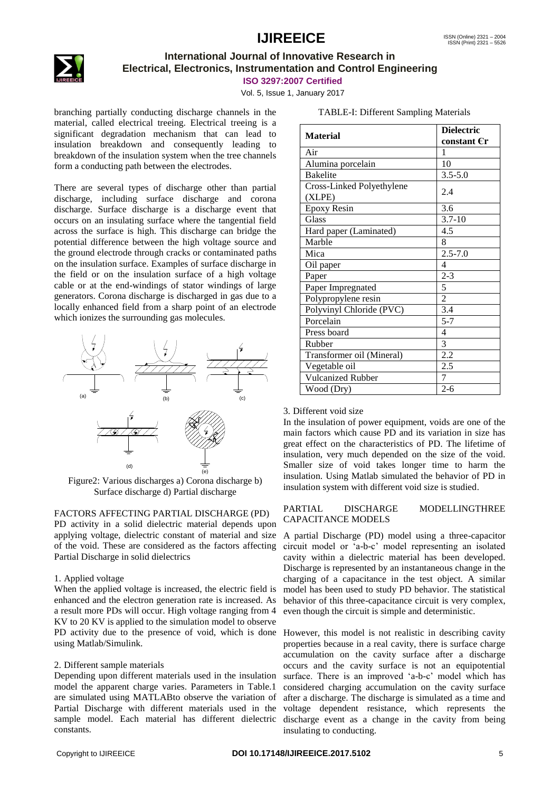

### **International Journal of Innovative Research in Electrical, Electronics, Instrumentation and Control Engineering**

**ISO 3297:2007 Certified**

Vol. 5, Issue 1, January 2017

branching partially conducting discharge channels in the material, called electrical treeing. Electrical treeing is a significant degradation mechanism that can lead to insulation breakdown and consequently leading to breakdown of the insulation system when the tree channels form a conducting path between the electrodes.

There are several types of discharge other than partial discharge, including surface discharge and corona discharge. Surface discharge is a discharge event that occurs on an insulating surface where the tangential field across the surface is high. This discharge can bridge the potential difference between the high voltage source and the ground electrode through cracks or contaminated paths on the insulation surface. Examples of surface discharge in the field or on the insulation surface of a high voltage cable or at the end-windings of stator windings of large generators. Corona discharge is discharged in gas due to a locally enhanced field from a sharp point of an electrode which ionizes the surrounding gas molecules.



Figure2: Various discharges a) Corona discharge b) Surface discharge d) Partial discharge

FACTORS AFFECTING PARTIAL DISCHARGE (PD) PD activity in a solid dielectric material depends upon applying voltage, dielectric constant of material and size of the void. These are considered as the factors affecting Partial Discharge in solid dielectrics

#### 1. Applied voltage

When the applied voltage is increased, the electric field is enhanced and the electron generation rate is increased. As a result more PDs will occur. High voltage ranging from 4 KV to 20 KV is applied to the simulation model to observe PD activity due to the presence of void, which is done However, this model is not realistic in describing cavity using Matlab/Simulink.

#### 2. Different sample materials

Depending upon different materials used in the insulation model the apparent charge varies. Parameters in Table.1 are simulated using MATLABto observe the variation of Partial Discharge with different materials used in the sample model. Each material has different dielectric constants.

| <b>Material</b>                     | <b>Dielectric</b><br>constant Cr |
|-------------------------------------|----------------------------------|
| Air                                 | 1                                |
| Alumina porcelain                   | 10                               |
| <b>Bakelite</b>                     | $3.5 - 5.0$                      |
| Cross-Linked Polyethylene<br>(XLPE) | 2.4                              |
| <b>Epoxy Resin</b>                  | 3.6                              |
| Glass                               | $3.7 - 10$                       |
| Hard paper (Laminated)              | 4.5                              |
| Marble                              | 8                                |
| Mica                                | $2.5 - 7.0$                      |
| Oil paper                           | $\overline{4}$                   |
| Paper                               | $2 - 3$                          |
| Paper Impregnated                   | 5                                |
| Polypropylene resin                 | $\overline{c}$                   |
| Polyvinyl Chloride (PVC)            | 3.4                              |
| Porcelain                           | $5 - 7$                          |
| Press board                         | 4                                |
| Rubber                              | 3                                |
| Transformer oil (Mineral)           | 2.2                              |
| Vegetable oil                       | 2.5                              |
| <b>Vulcanized Rubber</b>            | 7                                |
| Wood (Dry)                          | $2 - 6$                          |

TABLE-I: Different Sampling Materials

#### 3. Different void size

In the insulation of power equipment, voids are one of the main factors which cause PD and its variation in size has great effect on the characteristics of PD. The lifetime of insulation, very much depended on the size of the void. Smaller size of void takes longer time to harm the insulation. Using Matlab simulated the behavior of PD in insulation system with different void size is studied.

#### PARTIAL DISCHARGE MODELLINGTHREE CAPACITANCE MODELS

A partial Discharge (PD) model using a three-capacitor circuit model or "a-b-c" model representing an isolated cavity within a dielectric material has been developed. Discharge is represented by an instantaneous change in the charging of a capacitance in the test object. A similar model has been used to study PD behavior. The statistical behavior of this three-capacitance circuit is very complex, even though the circuit is simple and deterministic.

properties because in a real cavity, there is surface charge accumulation on the cavity surface after a discharge occurs and the cavity surface is not an equipotential surface. There is an improved 'a-b-c' model which has considered charging accumulation on the cavity surface after a discharge. The discharge is simulated as a time and voltage dependent resistance, which represents the discharge event as a change in the cavity from being insulating to conducting.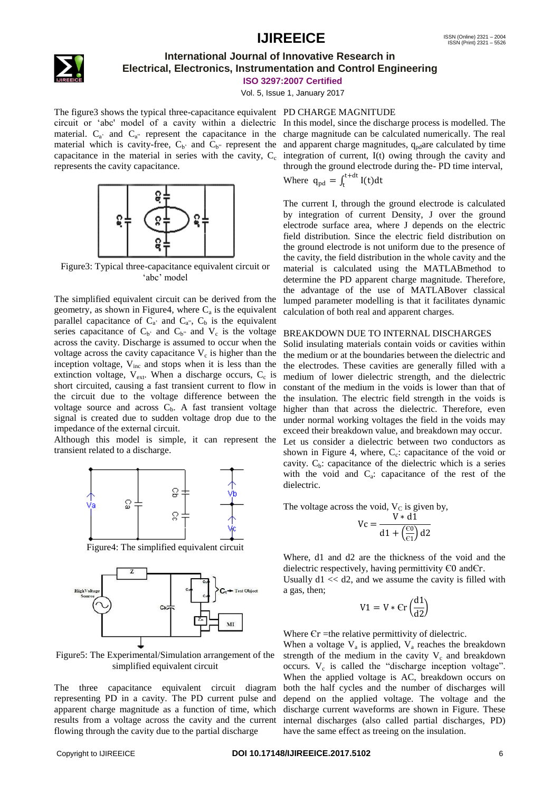

### **International Journal of Innovative Research in Electrical, Electronics, Instrumentation and Control Engineering**

**ISO 3297:2007 Certified**

Vol. 5, Issue 1, January 2017

The figure3 shows the typical three-capacitance equivalent PD CHARGE MAGNITUDE material.  $C_{a}$  and  $C_{a}$  represent the capacitance in the material which is cavity-free,  $C_{b}$  and  $C_{b}$  represent the capacitance in the material in series with the cavity,  $C_c$ represents the cavity capacitance.



Figure3: Typical three-capacitance equivalent circuit or 'abc' model

The simplified equivalent circuit can be derived from the geometry, as shown in Figure4, where  $C_a$  is the equivalent parallel capacitance of  $C_a$  and  $C_a$ ,  $C_b$  is the equivalent series capacitance of  $C_b$  and  $C_b$  and  $V_c$  is the voltage across the cavity. Discharge is assumed to occur when the voltage across the cavity capacitance  $V_c$  is higher than the inception voltage,  $V_{inc}$  and stops when it is less than the extinction voltage,  $V_{ext}$ . When a discharge occurs,  $C_c$  is short circuited, causing a fast transient current to flow in the circuit due to the voltage difference between the voltage source and across  $C<sub>b</sub>$ . A fast transient voltage signal is created due to sudden voltage drop due to the impedance of the external circuit.

Although this model is simple, it can represent the transient related to a discharge.



Figure4: The simplified equivalent circuit



Figure5: The Experimental/Simulation arrangement of the simplified equivalent circuit

The three capacitance equivalent circuit diagram representing PD in a cavity. The PD current pulse and apparent charge magnitude as a function of time, which results from a voltage across the cavity and the current flowing through the cavity due to the partial discharge

circuit or "abc' model of a cavity within a dielectric In this model, since the discharge process is modelled. The charge magnitude can be calculated numerically. The real and apparent charge magnitudes,  $q_{pd}$ are calculated by time integration of current, I(t) owing through the cavity and through the ground electrode during the- PD time interval, Where  $q_{pd} = \int_{t}^{t+dt} I(t)dt$ 

> The current I, through the ground electrode is calculated by integration of current Density, J over the ground electrode surface area, where J depends on the electric field distribution. Since the electric field distribution on the ground electrode is not uniform due to the presence of the cavity, the field distribution in the whole cavity and the material is calculated using the MATLABmethod to determine the PD apparent charge magnitude. Therefore, the advantage of the use of MATLABover classical lumped parameter modelling is that it facilitates dynamic calculation of both real and apparent charges.

#### BREAKDOWN DUE TO INTERNAL DISCHARGES

Solid insulating materials contain voids or cavities within the medium or at the boundaries between the dielectric and the electrodes. These cavities are generally filled with a medium of lower dielectric strength, and the dielectric constant of the medium in the voids is lower than that of the insulation. The electric field strength in the voids is higher than that across the dielectric. Therefore, even under normal working voltages the field in the voids may exceed their breakdown value, and breakdown may occur. Let us consider a dielectric between two conductors as shown in Figure 4, where,  $C_c$ : capacitance of the void or cavity.  $C_b$ : capacitance of the dielectric which is a series with the void and  $C_a$ : capacitance of the rest of the

The voltage across the void,  $V_C$  is given by,

 $\overline{V}$ 

$$
c = \frac{V * d1}{d1 + \left(\frac{\epsilon_0}{\epsilon_1}\right) d2}
$$

Where, d1 and d2 are the thickness of the void and the dielectric respectively, having permittivity Є0 andЄr.

Usually  $d1 \ll d2$ , and we assume the cavity is filled with a gas, then;

$$
V1 = V * \mathsf{Cr}\left(\frac{\mathrm{d}1}{\mathrm{d}2}\right)
$$

Where  $\epsilon$  =the relative permittivity of dielectric.

When a voltage  $V_a$  is applied,  $V_a$  reaches the breakdown strength of the medium in the cavity  $V_c$  and breakdown occurs.  $V_c$  is called the "discharge inception voltage". When the applied voltage is AC, breakdown occurs on both the half cycles and the number of discharges will depend on the applied voltage. The voltage and the discharge current waveforms are shown in Figure. These internal discharges (also called partial discharges, PD) have the same effect as treeing on the insulation.

dielectric.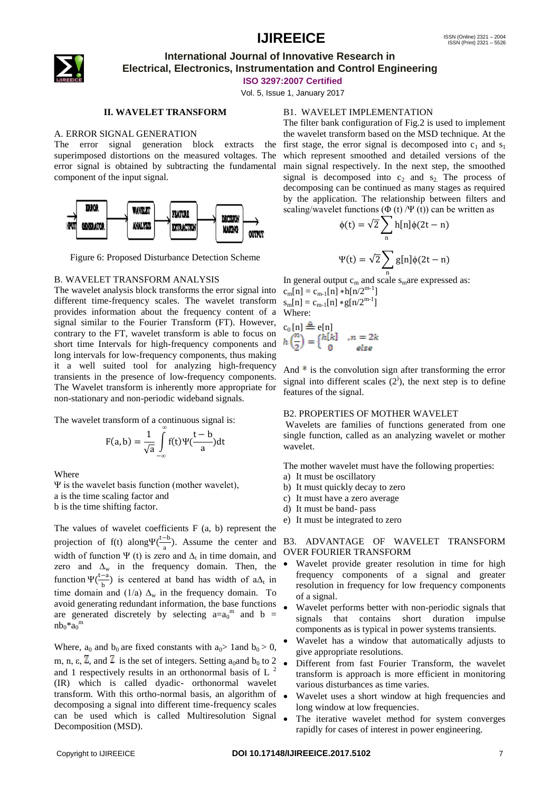

### **International Journal of Innovative Research in Electrical, Electronics, Instrumentation and Control Engineering**

**ISO 3297:2007 Certified**

Vol. 5, Issue 1, January 2017

#### **II. WAVELET TRANSFORM**

#### A. ERROR SIGNAL GENERATION

The error signal generation block extracts the superimposed distortions on the measured voltages. The error signal is obtained by subtracting the fundamental component of the input signal.



Figure 6: Proposed Disturbance Detection Scheme

#### B. WAVELET TRANSFORM ANALYSIS

The wavelet analysis block transforms the error signal into different time-frequency scales. The wavelet transform provides information about the frequency content of a signal similar to the Fourier Transform (FT). However, contrary to the FT, wavelet transform is able to focus on short time Intervals for high-frequency components and long intervals for low-frequency components, thus making it a well suited tool for analyzing high-frequency transients in the presence of low-frequency components. The Wavelet transform is inherently more appropriate for non-stationary and non-periodic wideband signals.

The wavelet transform of a continuous signal is:

$$
F(a,b) = \frac{1}{\sqrt{a}} \int_{-\infty}^{\infty} f(t) \Psi(\frac{t-b}{a}) dt
$$

Where

Ψ is the wavelet basis function (mother wavelet), a is the time scaling factor and b is the time shifting factor.

The values of wavelet coefficients F (a, b) represent the projection of f(t) along $\Psi(\frac{t-b}{t})$  $\frac{1}{a}$ ). Assume the center and width of function  $\Psi$  (t) is zero and  $\Delta_t$  in time domain, and zero and  $\Delta_w$  in the frequency domain. Then, the function  $\Psi(\frac{t-a}{t})$  $\frac{a}{b}$ ) is centered at band has width of a $\Delta_t$  in time domain and (1/a)  $\Delta_w$  in the frequency domain. To avoid generating redundant information, the base functions are generated discretely by selecting  $a=a_0^m$  and  $b =$  $nb_0 \times a_0$ <sup>m</sup>

Where,  $a_0$  and  $b_0$  are fixed constants with  $a_0$  > 1 and  $b_0$  > 0, m, n,  $\varepsilon$ ,  $\overline{Z}$ , and  $\overline{Z}$  is the set of integers. Setting a<sub>0</sub>and b<sub>0</sub> to 2 and 1 respectively results in an orthonormal basis of L $<sup>2</sup>$ </sup> (IR) which is called dyadic- orthonormal wavelet transform. With this ortho-normal basis, an algorithm of decomposing a signal into different time-frequency scales can be used which is called Multiresolution Signal Decomposition (MSD).

#### B1. WAVELET IMPLEMENTATION

The filter bank configuration of Fig.2 is used to implement the wavelet transform based on the MSD technique. At the first stage, the error signal is decomposed into  $c_1$  and  $s_1$ which represent smoothed and detailed versions of the main signal respectively. In the next step, the smoothed signal is decomposed into  $c_2$  and  $s_2$ . The process of decomposing can be continued as many stages as required by the application. The relationship between filters and scaling/wavelet functions  $(\Phi(t)/\Psi(t))$  can be written as

$$
\phi(t) = \sqrt{2} \sum_{n} h[n] \phi(2t - n)
$$

$$
\Psi(t) = \sqrt{2} \sum_{n} g[n] \phi(2t - n)
$$

In general output  $c_m$  and scale s<sub>m</sub>are expressed as:  $c_m[n] = c_{m-1}[n] * h[n/2^{m-1}]$  $s_m[n] = c_{m-1}[n] * g[n/2^{m-1}]$ Where:

$$
c_0[n] \triangleq e[n]
$$
  

$$
h\left(\frac{n}{2}\right) = \begin{cases} h[k] & , n = 2k \\ 0 & else \end{cases}
$$

And  $*$  is the convolution sign after transforming the error signal into different scales  $(2^j)$ , the next step is to define features of the signal.

#### B2. PROPERTIES OF MOTHER WAVELET

Wavelets are families of functions generated from one single function, called as an analyzing wavelet or mother wavelet.

The mother wavelet must have the following properties:

- a) It must be oscillatory
- b) It must quickly decay to zero
- c) It must have a zero average
- d) It must be band- pass
- e) It must be integrated to zero

#### B3. ADVANTAGE OF WAVELET TRANSFORM OVER FOURIER TRANSFORM

- Wavelet provide greater resolution in time for high frequency components of a signal and greater resolution in frequency for low frequency components of a signal.
- Wavelet performs better with non-periodic signals that signals that contains short duration impulse components as is typical in power systems transients.
- Wavelet has a window that automatically adjusts to give appropriate resolutions.
- Different from fast Fourier Transform, the wavelet transform is approach is more efficient in monitoring various disturbances as time varies.
- Wavelet uses a short window at high frequencies and long window at low frequencies.
- The iterative wavelet method for system converges rapidly for cases of interest in power engineering.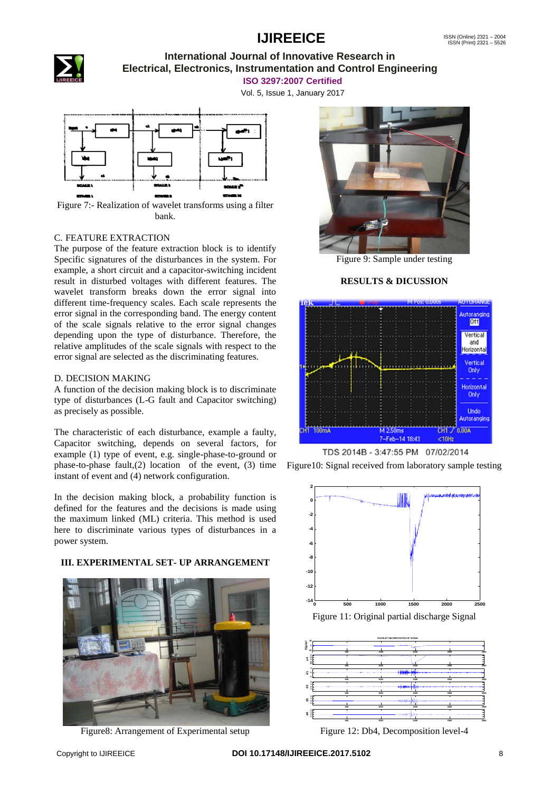

### **International Journal of Innovative Research in Electrical, Electronics, Instrumentation and Control Engineering**

**ISO 3297:2007 Certified**

Vol. 5, Issue 1, January 2017



Figure 7:- Realization of wavelet transforms using a filter bank.

#### C. FEATURE EXTRACTION

The purpose of the feature extraction block is to identify Specific signatures of the disturbances in the system. For example, a short circuit and a capacitor-switching incident result in disturbed voltages with different features. The wavelet transform breaks down the error signal into different time-frequency scales. Each scale represents the error signal in the corresponding band. The energy content of the scale signals relative to the error signal changes depending upon the type of disturbance. Therefore, the relative amplitudes of the scale signals with respect to the error signal are selected as the discriminating features.

#### D. DECISION MAKING

A function of the decision making block is to discriminate type of disturbances (L-G fault and Capacitor switching) as precisely as possible.

The characteristic of each disturbance, example a faulty, Capacitor switching, depends on several factors, for example (1) type of event, e.g. single-phase-to-ground or phase-to-phase fault, $(2)$  location of the event,  $(3)$  time instant of event and (4) network configuration.

In the decision making block, a probability function is defined for the features and the decisions is made using the maximum linked (ML) criteria. This method is used here to discriminate various types of disturbances in a power system.

**III. EXPERIMENTAL SET- UP ARRANGEMENT**



Figure8: Arrangement of Experimental setup



Figure 9: Sample under testing

#### **RESULTS & DICUSSION**



Figure10: Signal received from laboratory sample testing





Figure 12: Db4, Decomposition level-4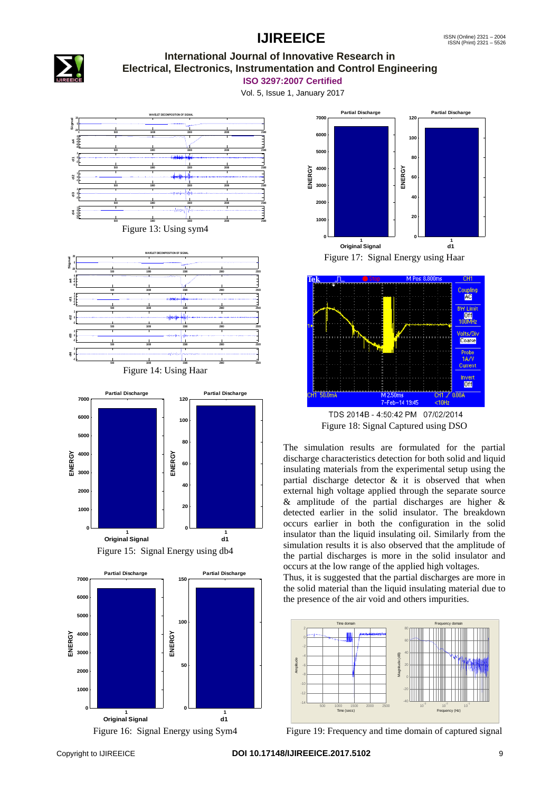

#### **International Journal of Innovative Research in Electrical, Electronics, Instrumentation and Control Engineering**

**ISO 3297:2007 Certified**

Vol. 5, Issue 1, January 2017



Figure 17: Signal Energy using Haar **1 Original Signal 0 1000 2000 3000 4000 ENERGY 5000 6000 7000 Partial Discharge 1 d1 0 20 40 60 80 100 120 ENERGY Partial Discharge**



Figure 18: Signal Captured using DSO

The simulation results are formulated for the partial discharge characteristics detection for both solid and liquid insulating materials from the experimental setup using the partial discharge detector  $\&$  it is observed that when external high voltage applied through the separate source & amplitude of the partial discharges are higher & detected earlier in the solid insulator. The breakdown occurs earlier in both the configuration in the solid insulator than the liquid insulating oil. Similarly from the simulation results it is also observed that the amplitude of the partial discharges is more in the solid insulator and occurs at the low range of the applied high voltages.

Thus, it is suggested that the partial discharges are more in the solid material than the liquid insulating material due to the presence of the air void and others impurities.



Figure 19: Frequency and time domain of captured signal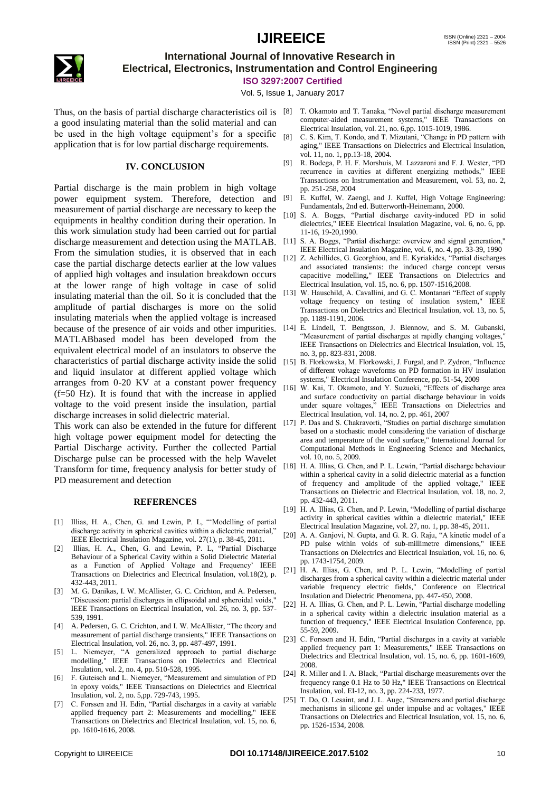

### **International Journal of Innovative Research in Electrical, Electronics, Instrumentation and Control Engineering**

**ISO 3297:2007 Certified**

Vol. 5, Issue 1, January 2017

a good insulating material than the solid material and can be used in the high voltage equipment's for a specific application that is for low partial discharge requirements.

#### **IV. CONCLUSION**

Partial discharge is the main problem in high voltage power equipment system. Therefore, detection and measurement of partial discharge are necessary to keep the equipments in healthy condition during their operation. In this work simulation study had been carried out for partial discharge measurement and detection using the MATLAB. From the simulation studies, it is observed that in each case the partial discharge detects earlier at the low values of applied high voltages and insulation breakdown occurs at the lower range of high voltage in case of solid insulating material than the oil. So it is concluded that the amplitude of partial discharges is more on the solid insulating materials when the applied voltage is increased because of the presence of air voids and other impurities. [14] E. Lindell, T. Bengtsson, J. Blennow, and S. M. Gubanski, MATLABbased model has been developed from the equivalent electrical model of an insulators to observe the characteristics of partial discharge activity inside the solid [15] B. Florkowska, M. Florkowski, J. Furgal, and P. Zydron, "Influence and liquid insulator at different applied voltage which arranges from 0-20 KV at a constant power frequency (f=50 Hz). It is found that with the increase in applied voltage to the void present inside the insulation, partial discharge increases in solid dielectric material.

This work can also be extended in the future for different high voltage power equipment model for detecting the Partial Discharge activity. Further the collected Partial Discharge pulse can be processed with the help Wavelet Transform for time, frequency analysis for better study of PD measurement and detection

#### **REFERENCES**

- [1] Illias, H. A., Chen, G. and Lewin, P. L, ""Modelling of partial discharge activity in spherical cavities within a dielectric material," IEEE Electrical Insulation Magazine, vol. 27(1), p. 38-45, 2011.
- [2] Illias, H. A., Chen, G. and Lewin, P. L, "Partial Discharge Behaviour of a Spherical Cavity within a Solid Dielectric Material as a Function of Applied Voltage and Frequency' IEEE Transactions on Dielectrics and Electrical Insulation, vol.18(2), p. 432-443, 2011.
- [3] M. G. Danikas, I. W. McAllister, G. C. Crichton, and A. Pedersen, "Discussion: partial discharges in ellipsoidal and spheroidal voids," IEEE Transactions on Electrical Insulation, vol. 26, no. 3, pp. 537- 539, 1991.
- [4] A. Pedersen, G. C. Crichton, and I. W. McAllister, "The theory and measurement of partial discharge transients," IEEE Transactions on Electrical Insulation, vol. 26, no. 3, pp. 487-497, 1991.
- [5] L. Niemeyer, "A generalized approach to partial discharge modelling," IEEE Transactions on Dielectrics and Electrical Insulation, vol. 2, no. 4, pp. 510-528, 1995.
- [6] F. Guteisch and L. Niemeyer, "Measurement and simulation of PD in epoxy voids," IEEE Transactions on Dielectrics and Electrical Insulation, vol. 2, no. 5,pp. 729-743, 1995.
- [7] C. Forssen and H. Edin, "Partial discharges in a cavity at variable applied frequency part 2: Measurements and modelling," IEEE Transactions on Dielectrics and Electrical Insulation, vol. 15, no. 6, pp. 1610-1616, 2008.
- Thus, on the basis of partial discharge characteristics oil is [8] T. Okamoto and T. Tanaka, "Novel partial discharge measurement computer-aided measurement systems," IEEE Transactions on Electrical Insulation, vol. 21, no. 6,pp. 1015-1019, 1986.
	- [8] C. S. Kim, T. Kondo, and T. Mizutani, "Change in PD pattern with aging," IEEE Transactions on Dielectrics and Electrical Insulation, vol. 11, no. 1, pp.13-18, 2004.
	- [9] R. Bodega, P. H. F. Morshuis, M. Lazzaroni and F. J. Wester, "PD recurrence in cavities at different energizing methods," IEEE Transactions on Instrumentation and Measurement, vol. 53, no. 2, pp. 251-258, 2004
	- [9] E. Kuffel, W. Zaengl, and J. Kuffel, High Voltage Engineering: Fundamentals, 2nd ed. Butterworth-Heinemann, 2000.
	- [10] S. A. Boggs, "Partial discharge cavity-induced PD in solid dielectrics," IEEE Electrical Insulation Magazine, vol. 6, no. 6, pp. 11-16, 19-20,1990.
	- [11] S. A. Boggs, "Partial discharge: overview and signal generation," IEEE Electrical Insulation Magazine, vol. 6, no. 4, pp. 33-39, 1990
	- [12] Z. Achillides, G. Georghiou, and E. Kyriakides, "Partial discharges and associated transients: the induced charge concept versus capacitive modelling," IEEE Transactions on Dielectrics and Electrical Insulation, vol. 15, no. 6, pp. 1507-1516,2008.
	- [13] W. Hauschild, A. Cavallini, and G. C. Montanari "Effect of supply voltage frequency on testing of insulation system," IEEE Transactions on Dielectrics and Electrical Insulation, vol. 13, no. 5, pp. 1189-1191, 2006.
	- "Measurement of partial discharges at rapidly changing voltages," IEEE Transactions on Dielectrics and Electrical Insulation, vol. 15, no. 3, pp. 823-831, 2008.
	- of different voltage waveforms on PD formation in HV insulation systems," Electrical Insulation Conference, pp. 51-54, 2009
	- W. Kai, T. Okamoto, and Y. Suzuoki, "Effects of discharge area and surface conductivity on partial discharge behaviour in voids under square voltages," IEEE Transactions on Dielectrics and Electrical Insulation, vol. 14, no. 2, pp. 461, 2007
	- [17] P. Das and S. Chakravorti, "Studies on partial discharge simulation based on a stochastic model considering the variation of discharge area and temperature of the void surface," International Journal for Computational Methods in Engineering Science and Mechanics, vol. 10, no. 5, 2009.
	- [18] H. A. Illias, G. Chen, and P. L. Lewin, "Partial discharge behaviour within a spherical cavity in a solid dielectric material as a function of frequency and amplitude of the applied voltage," IEEE Transactions on Dielectric and Electrical Insulation, vol. 18, no. 2, pp. 432-443, 2011.
	- [19] H. A. Illias, G. Chen, and P. Lewin, "Modelling of partial discharge activity in spherical cavities within a dielectric material," IEEE Electrical Insulation Magazine, vol. 27, no. 1, pp. 38-45, 2011.
	- [20] A. A. Ganjovi, N. Gupta, and G. R. G. Raju, "A kinetic model of a PD pulse within voids of sub-millimetre dimensions," IEEE Transactions on Dielectrics and Electrical Insulation, vol. 16, no. 6, pp. 1743-1754, 2009.
	- [21] H. A. Illias, G. Chen, and P. L. Lewin, "Modelling of partial discharges from a spherical cavity within a dielectric material under variable frequency electric fields," Conference on Electrical Insulation and Dielectric Phenomena, pp. 447-450, 2008.
	- [22] H. A. Illias, G. Chen, and P. L. Lewin, "Partial discharge modelling in a spherical cavity within a dielectric insulation material as a function of frequency," IEEE Electrical Insulation Conference, pp. 55-59, 2009.
	- [23] C. Forssen and H. Edin, "Partial discharges in a cavity at variable applied frequency part 1: Measurements," IEEE Transactions on Dielectrics and Electrical Insulation, vol. 15, no. 6, pp. 1601-1609, 2008.
	- [24] R. Miller and I. A. Black, "Partial discharge measurements over the frequency range 0.1 Hz to 50 Hz," IEEE Transactions on Electrical Insulation, vol. EI-12, no. 3, pp. 224-233, 1977.
	- [25] T. Do, O. Lesaint, and J. L. Auge, "Streamers and partial discharge mechanisms in silicone gel under impulse and ac voltages," IEEE Transactions on Dielectrics and Electrical Insulation, vol. 15, no. 6, pp. 1526-1534, 2008.